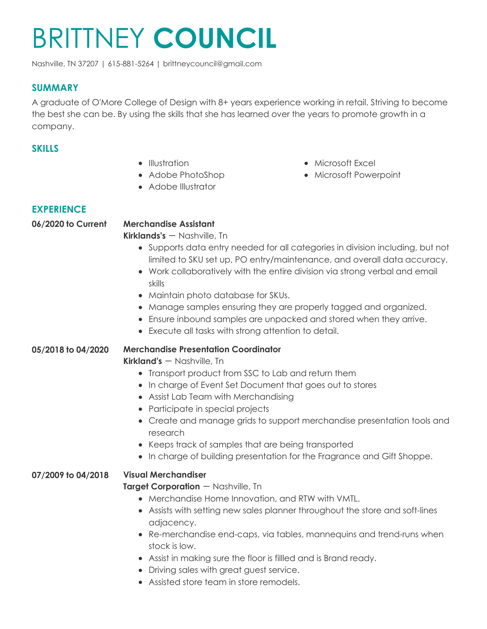# BRITTNEY **COUNCIL**

Nashville, TN 37207 | 615-881-5264 | brittneycouncil@gmail.com

### **SUMMARY**

A graduate of O'More College of Design with 8+ years experience working in retail. Striving to become the best she can be. By using the skills that she has learned over the years to promote growth in a company.

## **SKILLS**

- Illustration
- Adobe PhotoShop
- Adobe Illustrator

# **EXPERIENCE**

# **06/2020 to Current Merchandise Assistant**

**Kirklands's** - Nashville, Tn

- Supports data entry needed for all categories in division including, but not limited to SKU set up, PO entry/maintenance, and overall data accuracy.
- Work collaboratively with the entire division via strong verbal and email skills
- Maintain photo database for SKUs.
- Manage samples ensuring they are properly tagged and organized.
- Ensure inbound samples are unpacked and stored when they arrive.
- Execute all tasks with strong attention to detail.

#### **05/2018 to 04/2020 Merchandise Presentation Coordinator**

**Kirkland's** - Nashville, Tn

- Transport product from SSC to Lab and return them
- In charge of Event Set Document that goes out to stores
- Assist Lab Team with Merchandising
- Participate in special projects
- Create and manage grids to support merchandise presentation tools and research
- Keeps track of samples that are being transported
- In charge of building presentation for the Fragrance and Gift Shoppe.

# **07/2009 to 04/2018 Visual Merchandiser**

#### **Target Corporation** - Nashville, Tn

- Merchandise Home Innovation, and RTW with VMTL.
- Assists with setting new sales planner throughout the store and soft-lines adjacency.
- Re-merchandise end-caps, via tables, mannequins and trend-runs when stock is low.
- Assist in making sure the floor is fillled and is Brand ready.
- Driving sales with great guest service.
- Assisted store team in store remodels.
- Microsoft Excel
- Microsoft Powerpoint